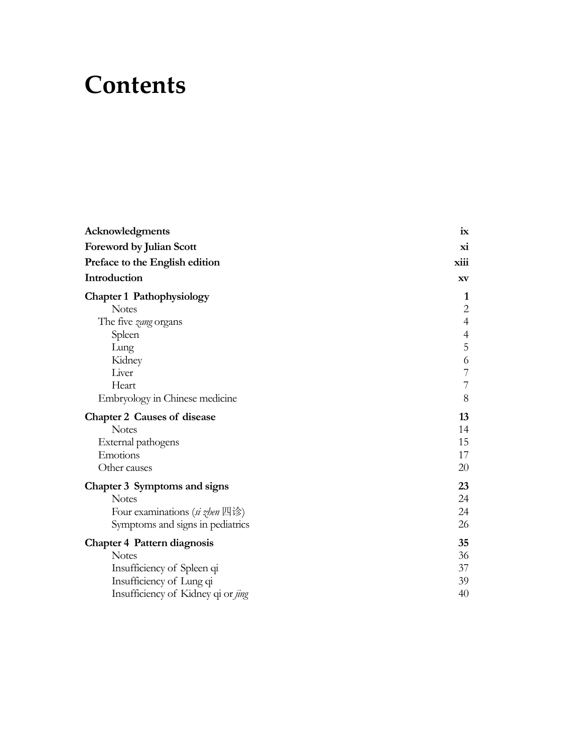## **Contents**

| Acknowledgments                    | ix             |
|------------------------------------|----------------|
| Foreword by Julian Scott           | xi             |
| Preface to the English edition     | xiii           |
| Introduction                       | XV             |
| <b>Chapter 1 Pathophysiology</b>   | 1              |
| <b>Notes</b>                       | $\overline{c}$ |
| The five zang organs               | $\overline{4}$ |
| Spleen                             | $\overline{4}$ |
| Lung                               | $\overline{5}$ |
| Kidney                             | 6              |
| Liver                              | $\overline{7}$ |
| Heart                              | $\overline{7}$ |
| Embryology in Chinese medicine     | 8              |
| <b>Chapter 2 Causes of disease</b> | 13             |
| <b>Notes</b>                       | 14             |
| External pathogens                 | 15             |
| Emotions                           | 17             |
| Other causes                       | 20             |
| Chapter 3 Symptoms and signs       | 23             |
| <b>Notes</b>                       | 24             |
| Four examinations (si zhen 四诊)     | 24             |
| Symptoms and signs in pediatrics   | 26             |
| <b>Chapter 4 Pattern diagnosis</b> | 35             |
| <b>Notes</b>                       | 36             |
| Insufficiency of Spleen qi         | 37             |
| Insufficiency of Lung qi           | 39             |
| Insufficiency of Kidney qi or jing | 40             |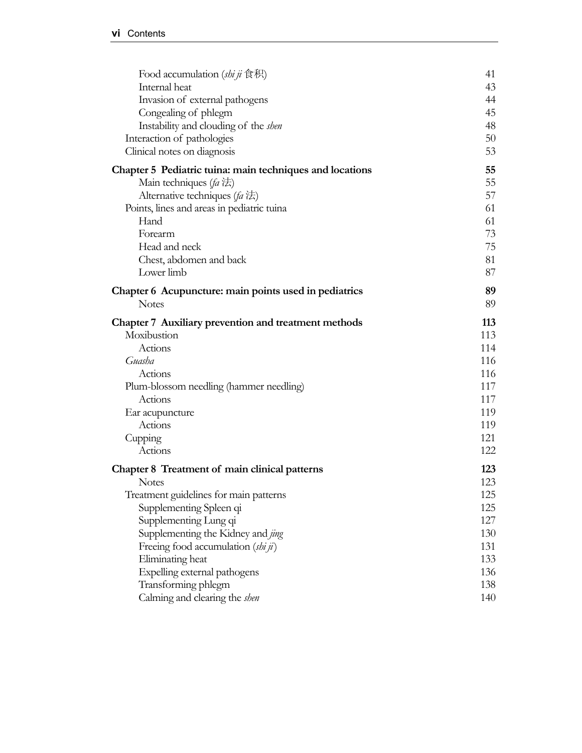| Food accumulation (shi ji $\hat{\otimes} \mathcal{H}$ )<br>Internal heat | 41<br>43 |
|--------------------------------------------------------------------------|----------|
|                                                                          |          |
| Invasion of external pathogens                                           | 44<br>45 |
| Congealing of phlegm                                                     | 48       |
| Instability and clouding of the <i>shen</i>                              | 50       |
| Interaction of pathologies<br>Clinical notes on diagnosis                | 53       |
| Chapter 5 Pediatric tuina: main techniques and locations                 | 55       |
| Main techniques (fa $\sharp$ )                                           | 55       |
| Alternative techniques ( $fa \nmid \pm$ )                                | 57       |
| Points, lines and areas in pediatric tuina                               | 61       |
| Hand                                                                     | 61       |
| Forearm                                                                  | 73       |
| Head and neck                                                            | 75       |
| Chest, abdomen and back                                                  | 81       |
| Lower limb                                                               | 87       |
| Chapter 6 Acupuncture: main points used in pediatrics                    | 89       |
| <b>Notes</b>                                                             | 89       |
| Chapter 7 Auxiliary prevention and treatment methods                     | 113      |
| Moxibustion                                                              | 113      |
| Actions                                                                  | 114      |
| Guasha                                                                   | 116      |
| Actions                                                                  | 116      |
| Plum-blossom needling (hammer needling)                                  | 117      |
| Actions                                                                  | 117      |
| Ear acupuncture                                                          | 119      |
| Actions                                                                  | 119      |
| Cupping                                                                  | 121      |
| Actions                                                                  | 122      |
| Chapter 8 Treatment of main clinical patterns                            | 123      |
| <b>Notes</b>                                                             | 123      |
| Treatment guidelines for main patterns                                   | 125      |
| Supplementing Spleen qi                                                  | 125      |
| Supplementing Lung qi                                                    | 127      |
| Supplementing the Kidney and jing                                        | 130      |
| Freeing food accumulation (shi ji)                                       | 131      |
| Eliminating heat                                                         | 133      |
| Expelling external pathogens                                             | 136      |
| Transforming phlegm                                                      | 138      |
| Calming and clearing the shen                                            | 140      |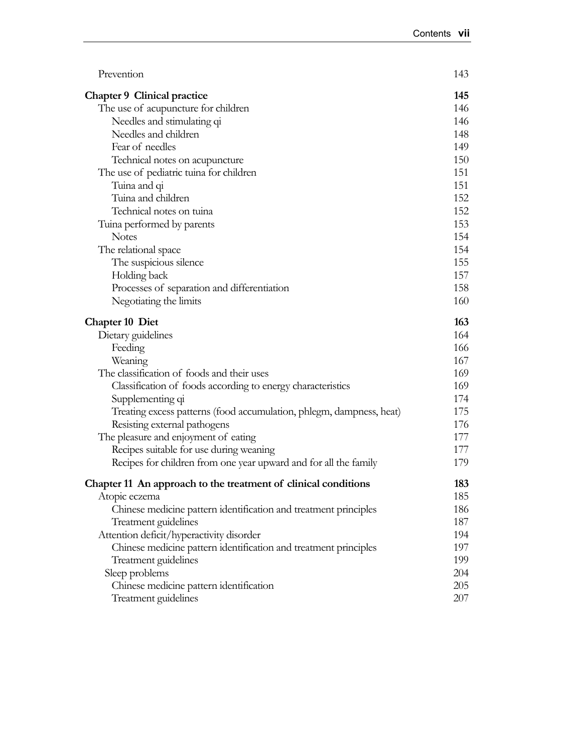| Prevention                                                           | 143 |
|----------------------------------------------------------------------|-----|
| <b>Chapter 9 Clinical practice</b>                                   | 145 |
| The use of acupuncture for children                                  | 146 |
| Needles and stimulating qi                                           | 146 |
| Needles and children                                                 | 148 |
| Fear of needles                                                      | 149 |
| Technical notes on acupuncture                                       | 150 |
| The use of pediatric tuina for children                              | 151 |
| Tuina and qi                                                         | 151 |
| Tuina and children                                                   | 152 |
| Technical notes on tuina                                             | 152 |
| Tuina performed by parents                                           | 153 |
| <b>Notes</b>                                                         | 154 |
| The relational space                                                 | 154 |
| The suspicious silence                                               | 155 |
| Holding back                                                         | 157 |
| Processes of separation and differentiation                          | 158 |
| Negotiating the limits                                               | 160 |
| <b>Chapter 10 Diet</b>                                               | 163 |
| Dietary guidelines                                                   | 164 |
| Feeding                                                              | 166 |
| Weaning                                                              | 167 |
| The classification of foods and their uses                           | 169 |
| Classification of foods according to energy characteristics          | 169 |
| Supplementing qi                                                     | 174 |
| Treating excess patterns (food accumulation, phlegm, dampness, heat) | 175 |
| Resisting external pathogens                                         | 176 |
| The pleasure and enjoyment of eating                                 | 177 |
| Recipes suitable for use during weaning                              | 177 |
| Recipes for children from one year upward and for all the family     | 179 |
| Chapter 11 An approach to the treatment of clinical conditions       | 183 |
| Atopic eczema                                                        | 185 |
| Chinese medicine pattern identification and treatment principles     | 186 |
| Treatment guidelines                                                 | 187 |
| Attention deficit/hyperactivity disorder                             | 194 |
| Chinese medicine pattern identification and treatment principles     | 197 |
| Treatment guidelines                                                 | 199 |
| Sleep problems                                                       | 204 |
| Chinese medicine pattern identification                              | 205 |
| Treatment guidelines                                                 | 207 |